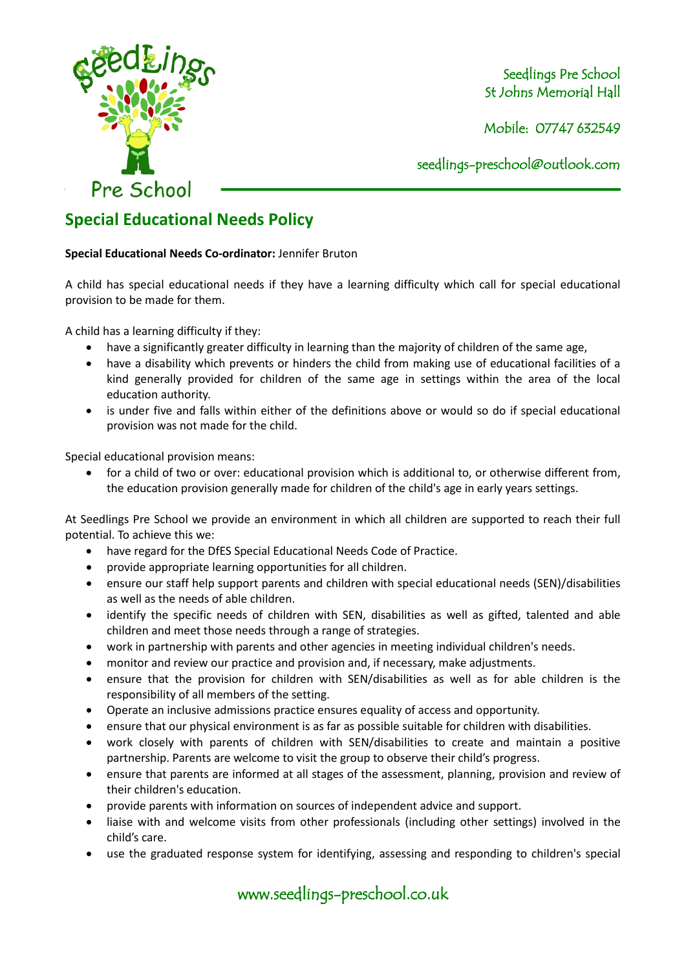

Seedlings Pre School St Johns Memorial Hall

Mobile: 07747 632549

seedlings[-preschool@outlook.com](mailto:preschool@outlook.com)

## **Special Educational Needs Policy**

## **Special Educational Needs Co-ordinator:** Jennifer Bruton

A child has special educational needs if they have a learning difficulty which call for special educational provision to be made for them.

A child has a learning difficulty if they:

- have a significantly greater difficulty in learning than the majority of children of the same age,
- have a disability which prevents or hinders the child from making use of educational facilities of a kind generally provided for children of the same age in settings within the area of the local education authority.
- is under five and falls within either of the definitions above or would so do if special educational provision was not made for the child.

Special educational provision means:

• for a child of two or over: educational provision which is additional to, or otherwise different from, the education provision generally made for children of the child's age in early years settings.

At Seedlings Pre School we provide an environment in which all children are supported to reach their full potential. To achieve this we:

- have regard for the DfES Special Educational Needs Code of Practice.
- provide appropriate learning opportunities for all children.
- ensure our staff help support parents and children with special educational needs (SEN)/disabilities as well as the needs of able children.
- identify the specific needs of children with SEN, disabilities as well as gifted, talented and able children and meet those needs through a range of strategies.
- work in partnership with parents and other agencies in meeting individual children's needs.
- monitor and review our practice and provision and, if necessary, make adjustments.
- ensure that the provision for children with SEN/disabilities as well as for able children is the responsibility of all members of the setting.
- Operate an inclusive admissions practice ensures equality of access and opportunity.
- ensure that our physical environment is as far as possible suitable for children with disabilities.
- work closely with parents of children with SEN/disabilities to create and maintain a positive partnership. Parents are welcome to visit the group to observe their child's progress.
- ensure that parents are informed at all stages of the assessment, planning, provision and review of their children's education.
- provide parents with information on sources of independent advice and support.
- liaise with and welcome visits from other professionals (including other settings) involved in the child's care.
- use the graduated response system for identifying, assessing and responding to children's special

www.seedlings-preschool.co.uk